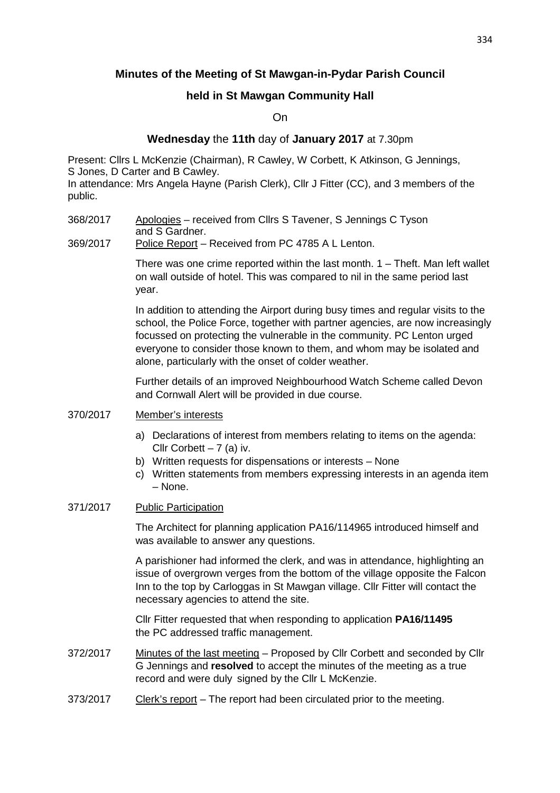# **Minutes of the Meeting of St Mawgan-in-Pydar Parish Council**

# **held in St Mawgan Community Hall**

On

## **Wednesday** the **11th** day of **January 2017** at 7.30pm

Present: Cllrs L McKenzie (Chairman), R Cawley, W Corbett, K Atkinson, G Jennings, S Jones, D Carter and B Cawley.

In attendance: Mrs Angela Hayne (Parish Clerk), Cllr J Fitter (CC), and 3 members of the public.

368/2017 Apologies – received from Cllrs S Tavener, S Jennings C Tyson and S Gardner.

## 369/2017 Police Report – Received from PC 4785 A L Lenton.

 There was one crime reported within the last month. 1 – Theft. Man left wallet on wall outside of hotel. This was compared to nil in the same period last year.

 In addition to attending the Airport during busy times and regular visits to the school, the Police Force, together with partner agencies, are now increasingly focussed on protecting the vulnerable in the community. PC Lenton urged everyone to consider those known to them, and whom may be isolated and alone, particularly with the onset of colder weather.

 Further details of an improved Neighbourhood Watch Scheme called Devon and Cornwall Alert will be provided in due course.

## 370/2017 Member's interests

- a) Declarations of interest from members relating to items on the agenda: Cllr Corbett  $-7$  (a) iv.
- b) Written requests for dispensations or interests None
- c) Written statements from members expressing interests in an agenda item – None.

## 371/2017 Public Participation

 The Architect for planning application PA16/114965 introduced himself and was available to answer any questions.

 A parishioner had informed the clerk, and was in attendance, highlighting an issue of overgrown verges from the bottom of the village opposite the Falcon Inn to the top by Carloggas in St Mawgan village. Cllr Fitter will contact the necessary agencies to attend the site.

 Cllr Fitter requested that when responding to application **PA16/11495** the PC addressed traffic management.

- 372/2017 Minutes of the last meeting Proposed by Cllr Corbett and seconded by Cllr G Jennings and **resolved** to accept the minutes of the meeting as a true record and were duly signed by the Cllr L McKenzie.
- 373/2017 Clerk's report The report had been circulated prior to the meeting.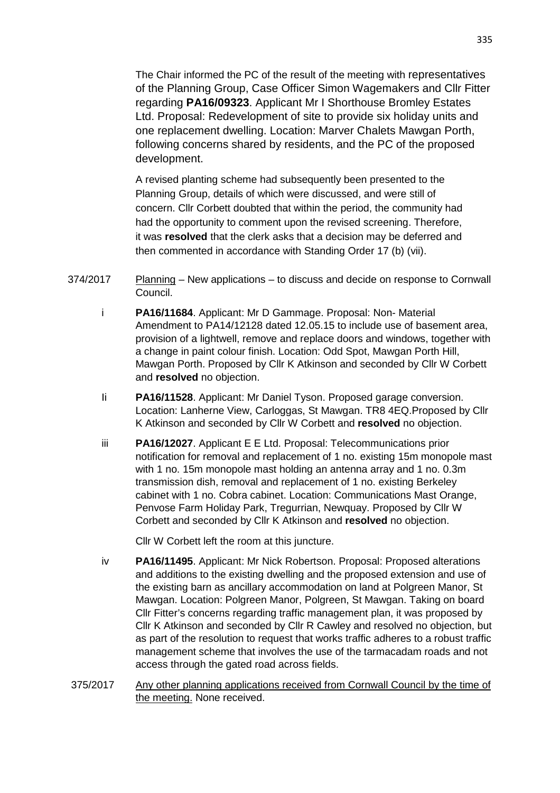The Chair informed the PC of the result of the meeting with representatives of the Planning Group, Case Officer Simon Wagemakers and Cllr Fitter regarding **PA16/09323**. Applicant Mr I Shorthouse Bromley Estates Ltd. Proposal: Redevelopment of site to provide six holiday units and one replacement dwelling. Location: Marver Chalets Mawgan Porth, following concerns shared by residents, and the PC of the proposed development.

 A revised planting scheme had subsequently been presented to the Planning Group, details of which were discussed, and were still of concern. Cllr Corbett doubted that within the period, the community had had the opportunity to comment upon the revised screening. Therefore, it was **resolved** that the clerk asks that a decision may be deferred and then commented in accordance with Standing Order 17 (b) (vii).

- 374/2017 Planning New applications to discuss and decide on response to Cornwall Council.
	- i **PA16/11684**. Applicant: Mr D Gammage. Proposal: Non- Material Amendment to PA14/12128 dated 12.05.15 to include use of basement area, provision of a lightwell, remove and replace doors and windows, together with a change in paint colour finish. Location: Odd Spot, Mawgan Porth Hill, Mawgan Porth. Proposed by Cllr K Atkinson and seconded by Cllr W Corbett and **resolved** no objection.
	- Ii **PA16/11528**. Applicant: Mr Daniel Tyson. Proposed garage conversion. Location: Lanherne View, Carloggas, St Mawgan. TR8 4EQ.Proposed by Cllr K Atkinson and seconded by Cllr W Corbett and **resolved** no objection.
	- iii **PA16/12027**. Applicant E E Ltd. Proposal: Telecommunications prior notification for removal and replacement of 1 no. existing 15m monopole mast with 1 no. 15m monopole mast holding an antenna array and 1 no. 0.3m transmission dish, removal and replacement of 1 no. existing Berkeley cabinet with 1 no. Cobra cabinet. Location: Communications Mast Orange, Penvose Farm Holiday Park, Tregurrian, Newquay. Proposed by Cllr W Corbett and seconded by Cllr K Atkinson and **resolved** no objection.

Cllr W Corbett left the room at this juncture.

- iv **PA16/11495**. Applicant: Mr Nick Robertson. Proposal: Proposed alterations and additions to the existing dwelling and the proposed extension and use of the existing barn as ancillary accommodation on land at Polgreen Manor, St Mawgan. Location: Polgreen Manor, Polgreen, St Mawgan. Taking on board Cllr Fitter's concerns regarding traffic management plan, it was proposed by Cllr K Atkinson and seconded by Cllr R Cawley and resolved no objection, but as part of the resolution to request that works traffic adheres to a robust traffic management scheme that involves the use of the tarmacadam roads and not access through the gated road across fields.
- 375/2017 Any other planning applications received from Cornwall Council by the time of the meeting. None received.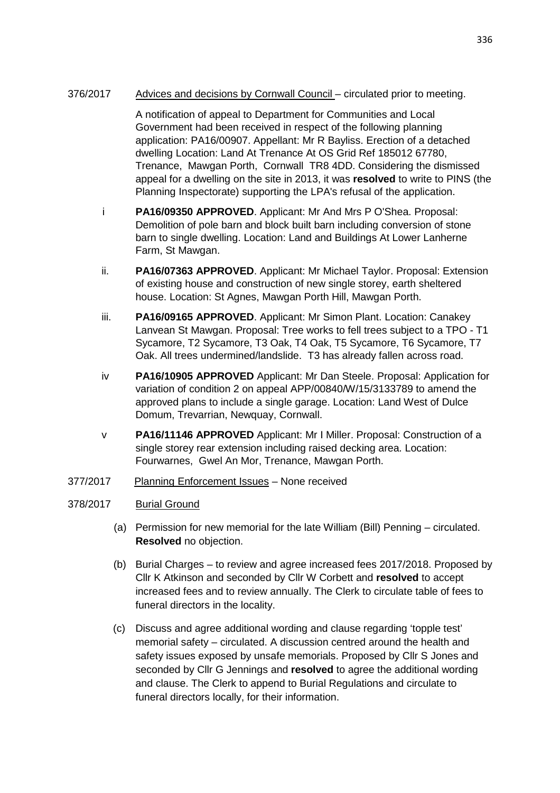## 376/2017 Advices and decisions by Cornwall Council – circulated prior to meeting.

 A notification of appeal to Department for Communities and Local Government had been received in respect of the following planning application: PA16/00907. Appellant: Mr R Bayliss. Erection of a detached dwelling Location: Land At Trenance At OS Grid Ref 185012 67780, Trenance, Mawgan Porth, Cornwall TR8 4DD. Considering the dismissed appeal for a dwelling on the site in 2013, it was **resolved** to write to PINS (the Planning Inspectorate) supporting the LPA's refusal of the application.

- i **PA16/09350 APPROVED**. Applicant: Mr And Mrs P O'Shea. Proposal: Demolition of pole barn and block built barn including conversion of stone barn to single dwelling. Location: Land and Buildings At Lower Lanherne Farm, St Mawgan.
- ii. **PA16/07363 APPROVED**. Applicant: Mr Michael Taylor. Proposal: Extension of existing house and construction of new single storey, earth sheltered house. Location: St Agnes, Mawgan Porth Hill, Mawgan Porth.
- iii. **PA16/09165 APPROVED**. Applicant: Mr Simon Plant. Location: Canakey Lanvean St Mawgan. Proposal: Tree works to fell trees subject to a TPO - T1 Sycamore, T2 Sycamore, T3 Oak, T4 Oak, T5 Sycamore, T6 Sycamore, T7 Oak. All trees undermined/landslide. T3 has already fallen across road.
- iv **PA16/10905 APPROVED** Applicant: Mr Dan Steele. Proposal: Application for variation of condition 2 on appeal APP/00840/W/15/3133789 to amend the approved plans to include a single garage. Location: Land West of Dulce Domum, Trevarrian, Newquay, Cornwall.
- v **PA16/11146 APPROVED** Applicant: Mr I Miller. Proposal: Construction of a single storey rear extension including raised decking area. Location: Fourwarnes, Gwel An Mor, Trenance, Mawgan Porth.
- 377/2017 Planning Enforcement Issues None received

# 378/2017 Burial Ground

- (a) Permission for new memorial for the late William (Bill) Penning circulated. **Resolved** no objection.
- (b) Burial Charges to review and agree increased fees 2017/2018. Proposed by Cllr K Atkinson and seconded by Cllr W Corbett and **resolved** to accept increased fees and to review annually. The Clerk to circulate table of fees to funeral directors in the locality.
- (c) Discuss and agree additional wording and clause regarding 'topple test' memorial safety – circulated. A discussion centred around the health and safety issues exposed by unsafe memorials. Proposed by Cllr S Jones and seconded by Cllr G Jennings and **resolved** to agree the additional wording and clause. The Clerk to append to Burial Regulations and circulate to funeral directors locally, for their information.